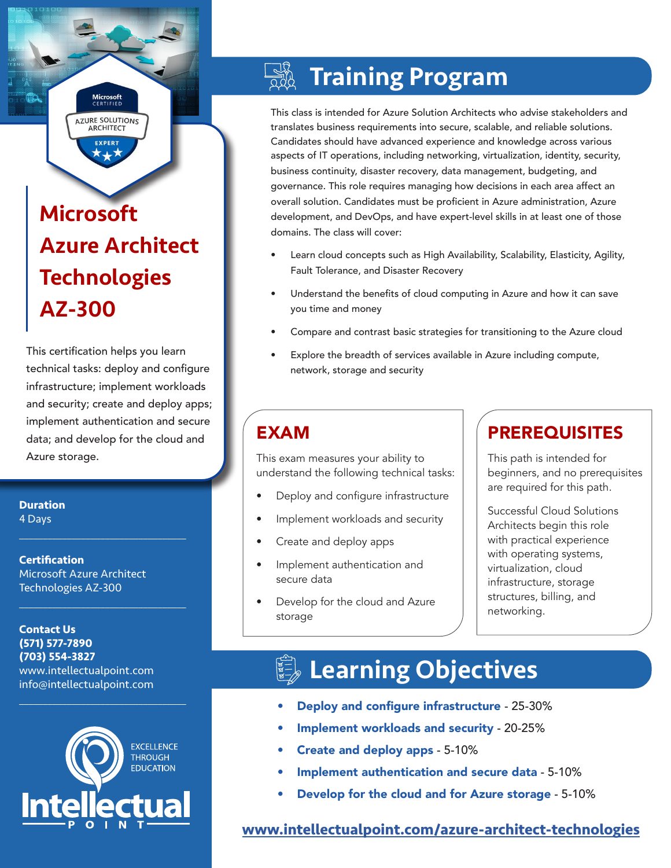# Microsoft Azure Architect **Technologies** AZ-300

**Microsoft**<br>CERTIFIED **AZURE SOLUTIONS ARCHITECT EXPERT** 

This certification helps you learn technical tasks: deploy and configure infrastructure; implement workloads and security; create and deploy apps; implement authentication and secure data; and develop for the cloud and Azure storage.

**Duration** 4 Days

**Certification** Microsoft Azure Architect Technologies AZ-300

 $\mathcal{L}_\text{max}$  , and the set of the set of the set of the set of the set of the set of the set of the set of the set of the set of the set of the set of the set of the set of the set of the set of the set of the set of the

 $\mathcal{L}_\text{max}$  , and the set of the set of the set of the set of the set of the set of the set of the set of the set of the set of the set of the set of the set of the set of the set of the set of the set of the set of the

**Contact Us (571) 577-7890 (703) 554-3827** www.intellectualpoint.com info@intellectualpoint.com



 $\mathcal{L}_\text{max}$  and  $\mathcal{L}_\text{max}$  and  $\mathcal{L}_\text{max}$  and  $\mathcal{L}_\text{max}$ 

# Training Program

This class is intended for Azure Solution Architects who advise stakeholders and translates business requirements into secure, scalable, and reliable solutions. Candidates should have advanced experience and knowledge across various aspects of IT operations, including networking, virtualization, identity, security, business continuity, disaster recovery, data management, budgeting, and governance. This role requires managing how decisions in each area affect an overall solution. Candidates must be proficient in Azure administration, Azure development, and DevOps, and have expert-level skills in at least one of those domains. The class will cover:

- Learn cloud concepts such as High Availability, Scalability, Elasticity, Agility, Fault Tolerance, and Disaster Recovery
- Understand the benefits of cloud computing in Azure and how it can save you time and money
- Compare and contrast basic strategies for transitioning to the Azure cloud
- Explore the breadth of services available in Azure including compute, network, storage and security

This exam measures your ability to understand the following technical tasks:

- Deploy and configure infrastructure
- Implement workloads and security
- Create and deploy apps
- Implement authentication and secure data
- Develop for the cloud and Azure storage

### EXAM PREREQUISITES

This path is intended for beginners, and no prerequisites are required for this path.

Successful Cloud Solutions Architects begin this role with practical experience with operating systems, virtualization, cloud infrastructure, storage structures, billing, and networking.

# Learning Objectives

- Deploy and configure infrastructure 25-30%
- Implement workloads and security 20-25%
- Create and deploy apps 5-10%
- Implement authentication and secure data 5-10%
- Develop for the cloud and for Azure storage 5-10%

### **[www.intellectualpoint.com/azure-architect-t](https://www.intellectualpoint.com/azure-architect-technologies)echnologies**